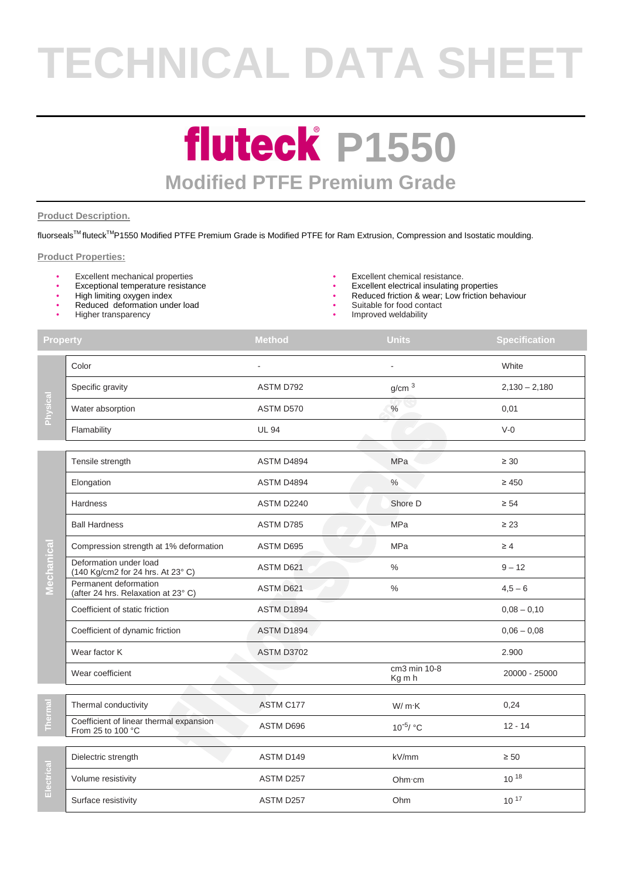# **TECHNICAL DATA SHEET**

### **fluteck P1550 Modified PTFE Premium Grade**

#### **Product Description.**

fluorseals™ fluteck<sup>™</sup>P1550 Modified PTFE Premium Grade is Modified PTFE for Ram Extrusion, Compression and Isostatic moulding.

**Property Method Units Specification Method Units Specification** 

#### **Product Properties:**

- 
- 
- High limiting oxygen index
- Reduced deformation under load
- Higher transparency
- Excellent mechanical properties Excellent chemical resistance.
- Exceptional temperature resistance  **Excellent electrical insulating properties** 
	- Reduced friction & wear; Low friction behaviour
	- Suitable for food contact
	- Improved weldability

| Physica                   | Color                                                        |                   |                        | White           |
|---------------------------|--------------------------------------------------------------|-------------------|------------------------|-----------------|
|                           | Specific gravity                                             | ASTM D792         | g/cm <sup>3</sup>      | $2,130 - 2,180$ |
|                           | Water absorption                                             | ASTM D570         | $\%$                   | 0,01            |
|                           | Flamability                                                  | <b>UL 94</b>      |                        | $V-0$           |
|                           |                                                              |                   |                        |                 |
| $\overline{c}$<br>Mechani | Tensile strength                                             | ASTM D4894        | MPa                    | $\geq 30$       |
|                           | Elongation                                                   | ASTM D4894        | $\%$                   | $\geq 450$      |
|                           | Hardness                                                     | <b>ASTM D2240</b> | Shore D                | $\geq 54$       |
|                           | <b>Ball Hardness</b>                                         | ASTM D785         | <b>MPa</b>             | $\geq 23$       |
|                           | Compression strength at 1% deformation                       | ASTM D695         | <b>MPa</b>             | $\geq 4$        |
|                           | Deformation under load<br>(140 Kg/cm2 for 24 hrs. At 23° C)  | ASTM D621         | $\frac{0}{0}$          | $9 - 12$        |
|                           | Permanent deformation<br>(after 24 hrs. Relaxation at 23°C)  | ASTM D621         | $\frac{0}{0}$          | $4,5 - 6$       |
|                           | Coefficient of static friction                               | ASTM D1894        |                        | $0,08 - 0,10$   |
|                           | Coefficient of dynamic friction                              | <b>ASTM D1894</b> |                        | $0.06 - 0.08$   |
|                           | Wear factor K                                                | <b>ASTM D3702</b> |                        | 2.900           |
|                           | Wear coefficient                                             |                   | cm3 min 10-8<br>Kg m h | 20000 - 25000   |
|                           |                                                              |                   |                        |                 |
|                           | Thermal conductivity                                         | ASTM C177         | W/m·K                  | 0,24            |
|                           | Coefficient of linear thermal expansion<br>From 25 to 100 °C | ASTM D696         | 10 <sup>-5</sup> / °C  | $12 - 14$       |
|                           |                                                              |                   |                        |                 |
|                           | Dielectric strength                                          | ASTM D149         | kV/mm                  | $\geq 50$       |

**Thermal**  Thermal conductivity and the conductivity and the ASTM C177 MV m.K 0,24 Coefficient of linear thermal expansion ASTM D696 10<sup>-5</sup><br>From 25 to 100 °C  $10^{-5}$ / °C 12 - 14 Dielectric strength ASTM D149 kV/mm ≥ 50 Volume resistivity and the COLO CONTEXT ASTM D257 Colume of the COLORATION COLORATION Of 18 Wear coefficient cm3 min 10-8<br>
Wear coefficient cm3 min 10-8<br>
Cm3 min 10-8 20000 - 25000

Surface resistivity and the MSTM D257 Communication of the MSTM D257 Communication of the MSTM D257 Communication of the MSTM D257 Communication of the MSTM D257 Communication of the MSTM D257 Communication of the MSTM D25